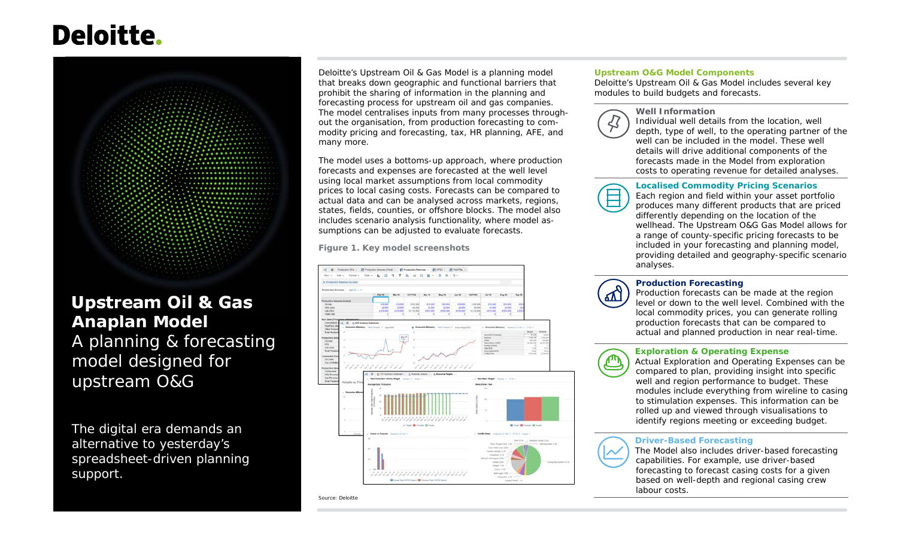# **Deloitte.**



# **Upstream Oil & Gas Anaplan Model** A planning & forecasting model designed for upstream O&G

The digital era demands an alternative to yesterday's spreadsheet-driven planning support.

Deloitte's Upstream Oil & Gas Model is a planning model that breaks down geographic and functional barriers that prohibit the sharing of information in the planning and forecasting process for upstream oil and gas companies. The model centralises inputs from many processes throughout the organisation, from production forecasting to commodity pricing and forecasting, tax, HR planning, AFE, and many more.

The model uses a bottoms-up approach, where production forecasts and expenses are forecasted at the well level using local market assumptions from local commodity prices to local casing costs. Forecasts can be compared to actual data and can be analysed across markets, regions, states, fields, counties, or offshore blocks. The model also includes scenario analysis functionality, where model assumptions can be adjusted to evaluate forecasts.

**Figure 1. Key model screenshots**

Source: Deloitte



#### **Upstream O&G Model Components**

Deloitte's Upstream Oil & Gas Model includes several key modules to build budgets and forecasts.



**Well Information** Individual well details from the location, well depth, type of well, to the operating partner of the well can be included in the model. These well details will drive additional components of the forecasts made in the Model from explorationcosts to operating revenue for detailed analyses.

#### **Localised Commodity Pricing Scenarios**

 Each region and field within your asset portfolio produces many different products that are priced differently depending on the location of the wellhead. The Upstream O&G Gas Model allows for a range of county-specific pricing forecasts to be included in your forecasting and planning model, providing detailed and geography-specific scenario analyses.



#### **Production Forecasting**

 Production forecasts can be made at the region level or down to the well level. Combined with the local commodity prices, you can generate rolling production forecasts that can be compared to actual and planned production in near real-time.

#### **Exploration & Operating Expense**

 Actual Exploration and Operating Expenses can be compared to plan, providing insight into specific well and region performance to budget. These modules include everything from wireline to casing to stimulation expenses. This information can be rolled up and viewed through visualisations to identify regions meeting or exceeding budget.

#### **Driver-Based Forecasting**



 The Model also includes driver-based forecasting capabilities. For example, use driver-based forecasting to forecast casing costs for a given based on well-depth and regional casing crew labour costs.